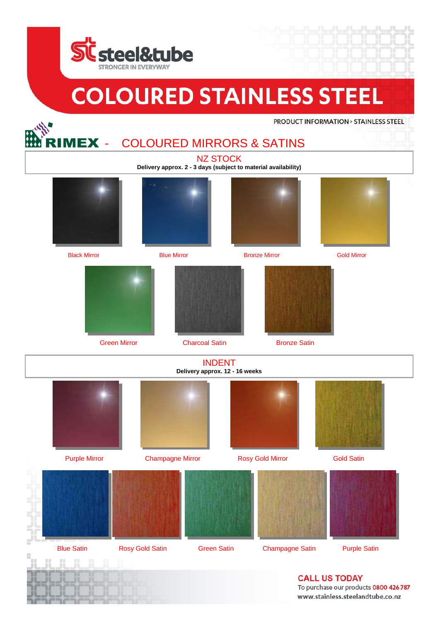